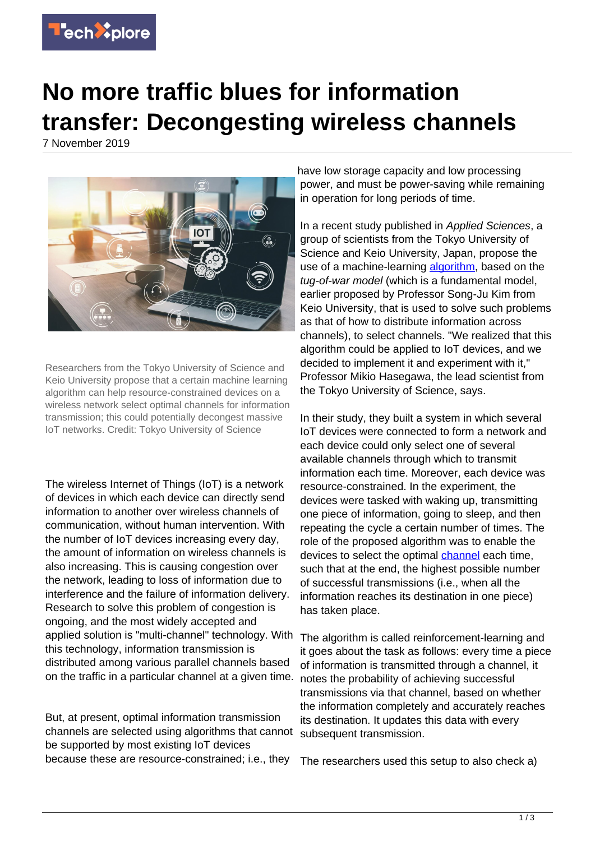

## **No more traffic blues for information transfer: Decongesting wireless channels**

7 November 2019



Researchers from the Tokyo University of Science and Keio University propose that a certain machine learning algorithm can help resource-constrained devices on a wireless network select optimal channels for information transmission; this could potentially decongest massive IoT networks. Credit: Tokyo University of Science

The wireless Internet of Things (IoT) is a network of devices in which each device can directly send information to another over wireless channels of communication, without human intervention. With the number of IoT devices increasing every day, the amount of information on wireless channels is also increasing. This is causing congestion over the network, leading to loss of information due to interference and the failure of information delivery. Research to solve this problem of congestion is ongoing, and the most widely accepted and applied solution is "multi-channel" technology. With this technology, information transmission is distributed among various parallel channels based on the traffic in a particular channel at a given time.

But, at present, optimal information transmission channels are selected using algorithms that cannot be supported by most existing IoT devices because these are resource-constrained; i.e., they

have low storage capacity and low processing power, and must be power-saving while remaining in operation for long periods of time.

In a recent study published in Applied Sciences, a group of scientists from the Tokyo University of Science and Keio University, Japan, propose the use of a machine-learning [algorithm](https://techxplore.com/tags/algorithm/), based on the tug-of-war model (which is a fundamental model, earlier proposed by Professor Song-Ju Kim from Keio University, that is used to solve such problems as that of how to distribute information across channels), to select channels. "We realized that this algorithm could be applied to IoT devices, and we decided to implement it and experiment with it," Professor Mikio Hasegawa, the lead scientist from the Tokyo University of Science, says.

In their study, they built a system in which several IoT devices were connected to form a network and each device could only select one of several available channels through which to transmit information each time. Moreover, each device was resource-constrained. In the experiment, the devices were tasked with waking up, transmitting one piece of information, going to sleep, and then repeating the cycle a certain number of times. The role of the proposed algorithm was to enable the devices to select the optimal [channel](https://techxplore.com/tags/channel/) each time, such that at the end, the highest possible number of successful transmissions (i.e., when all the information reaches its destination in one piece) has taken place.

The algorithm is called reinforcement-learning and it goes about the task as follows: every time a piece of information is transmitted through a channel, it notes the probability of achieving successful transmissions via that channel, based on whether the information completely and accurately reaches its destination. It updates this data with every subsequent transmission.

The researchers used this setup to also check a)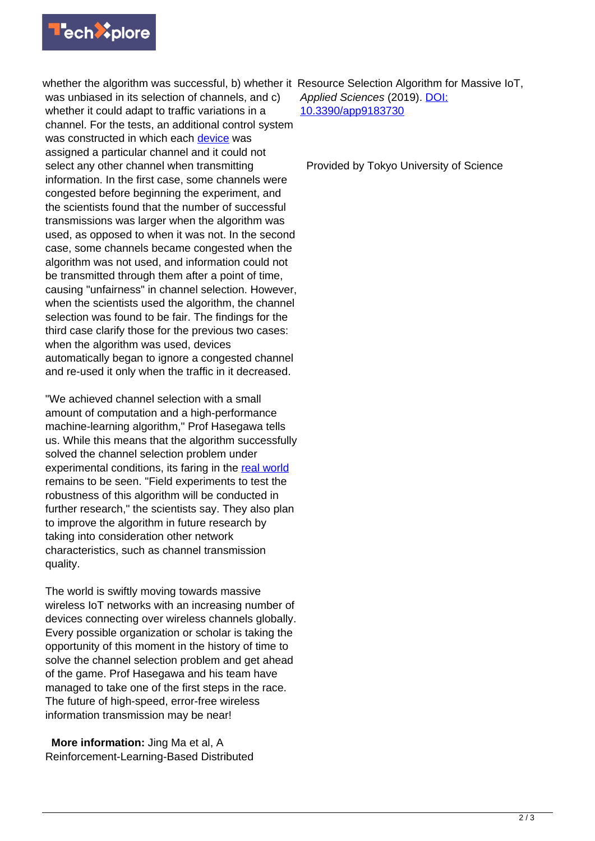

whether the algorithm was successful, b) whether it Resource Selection Algorithm for Massive IoT, was unbiased in its selection of channels, and c) whether it could adapt to traffic variations in a channel. For the tests, an additional control system was constructed in which each [device](https://techxplore.com/tags/device/) was assigned a particular channel and it could not select any other channel when transmitting information. In the first case, some channels were congested before beginning the experiment, and the scientists found that the number of successful transmissions was larger when the algorithm was used, as opposed to when it was not. In the second case, some channels became congested when the algorithm was not used, and information could not be transmitted through them after a point of time, causing "unfairness" in channel selection. However, when the scientists used the algorithm, the channel selection was found to be fair. The findings for the third case clarify those for the previous two cases: when the algorithm was used, devices automatically began to ignore a congested channel and re-used it only when the traffic in it decreased.

"We achieved channel selection with a small amount of computation and a high-performance machine-learning algorithm," Prof Hasegawa tells us. While this means that the algorithm successfully solved the channel selection problem under experimental conditions, its faring in the [real world](https://techxplore.com/tags/real+world/) remains to be seen. "Field experiments to test the robustness of this algorithm will be conducted in further research," the scientists say. They also plan to improve the algorithm in future research by taking into consideration other network characteristics, such as channel transmission quality.

The world is swiftly moving towards massive wireless IoT networks with an increasing number of devices connecting over wireless channels globally. Every possible organization or scholar is taking the opportunity of this moment in the history of time to solve the channel selection problem and get ahead of the game. Prof Hasegawa and his team have managed to take one of the first steps in the race. The future of high-speed, error-free wireless information transmission may be near!

 **More information:** Jing Ma et al, A Reinforcement-Learning-Based Distributed Applied Sciences (2019). [DOI:](http://dx.doi.org/10.3390/app9183730) [10.3390/app9183730](http://dx.doi.org/10.3390/app9183730)

Provided by Tokyo University of Science